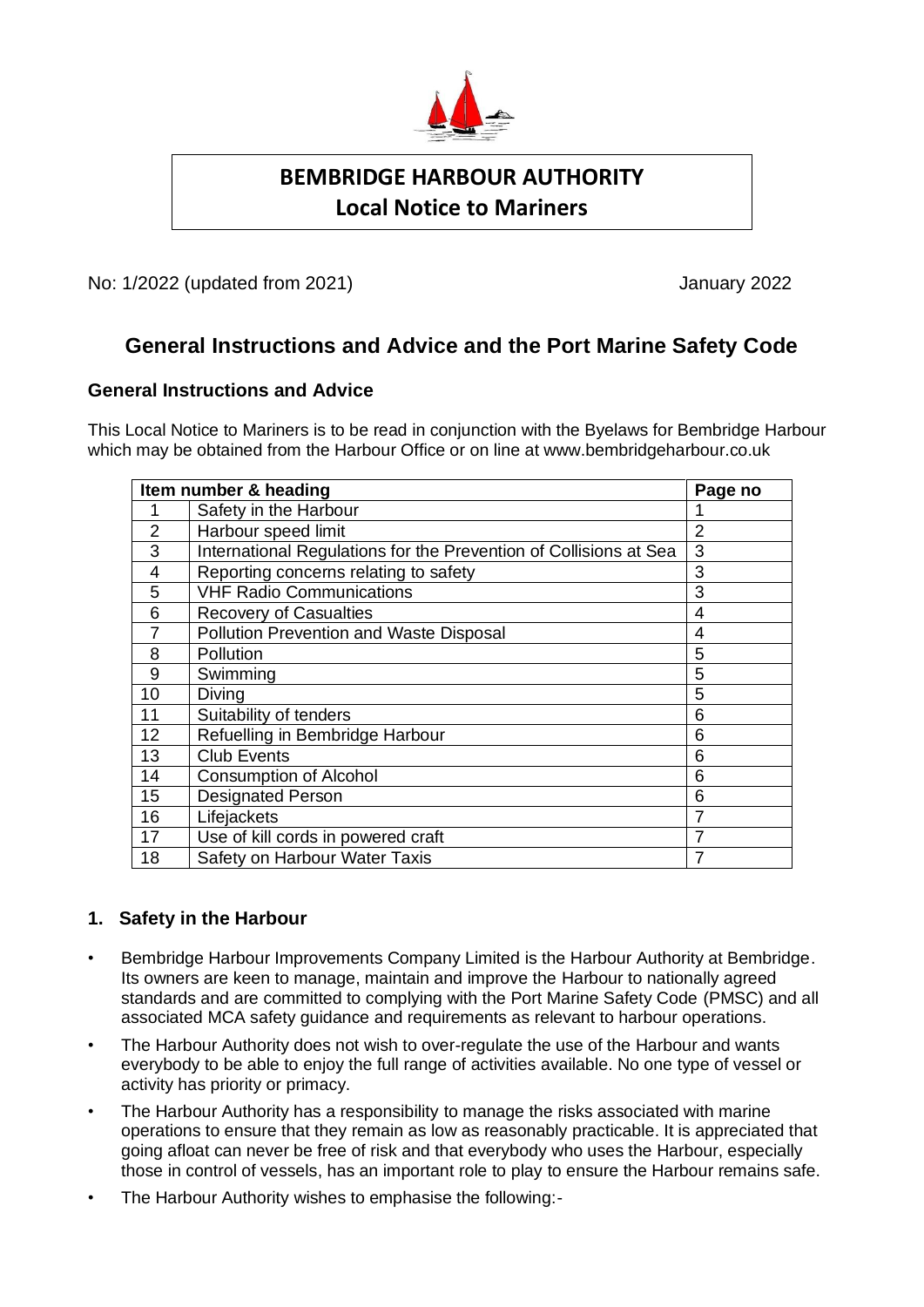

# **BEMBRIDGE HARBOUR AUTHORITY Local Notice to Mariners**

No: 1/2022 (updated from 2021) January 2022

# **General Instructions and Advice and the Port Marine Safety Code**

# **General Instructions and Advice**

This Local Notice to Mariners is to be read in conjunction with the Byelaws for Bembridge Harbour which may be obtained from the Harbour Office or on line at www.bembridgeharbour.co.uk

| Item number & heading |                                                                   | Page no        |
|-----------------------|-------------------------------------------------------------------|----------------|
|                       | Safety in the Harbour                                             |                |
| $\overline{2}$        | Harbour speed limit                                               | $\overline{2}$ |
| 3                     | International Regulations for the Prevention of Collisions at Sea | 3              |
| 4                     | Reporting concerns relating to safety                             | 3              |
| 5                     | <b>VHF Radio Communications</b>                                   | 3              |
| 6                     | <b>Recovery of Casualties</b>                                     | 4              |
| $\overline{7}$        | Pollution Prevention and Waste Disposal                           | 4              |
| 8                     | Pollution                                                         | 5              |
| 9                     | Swimming                                                          | 5              |
| 10                    | Diving                                                            | 5              |
| 11                    | Suitability of tenders                                            | 6              |
| 12                    | Refuelling in Bembridge Harbour                                   | 6              |
| 13                    | <b>Club Events</b>                                                | 6              |
| 14                    | <b>Consumption of Alcohol</b>                                     | 6              |
| 15                    | <b>Designated Person</b>                                          | 6              |
| 16                    | Lifejackets                                                       | 7              |
| 17                    | Use of kill cords in powered craft                                | 7              |
| 18                    | Safety on Harbour Water Taxis                                     | 7              |

# **1. Safety in the Harbour**

- Bembridge Harbour Improvements Company Limited is the Harbour Authority at Bembridge. Its owners are keen to manage, maintain and improve the Harbour to nationally agreed standards and are committed to complying with the Port Marine Safety Code (PMSC) and all associated MCA safety guidance and requirements as relevant to harbour operations.
- The Harbour Authority does not wish to over-regulate the use of the Harbour and wants everybody to be able to enjoy the full range of activities available. No one type of vessel or activity has priority or primacy.
- The Harbour Authority has a responsibility to manage the risks associated with marine operations to ensure that they remain as low as reasonably practicable. It is appreciated that going afloat can never be free of risk and that everybody who uses the Harbour, especially those in control of vessels, has an important role to play to ensure the Harbour remains safe.
- The Harbour Authority wishes to emphasise the following:-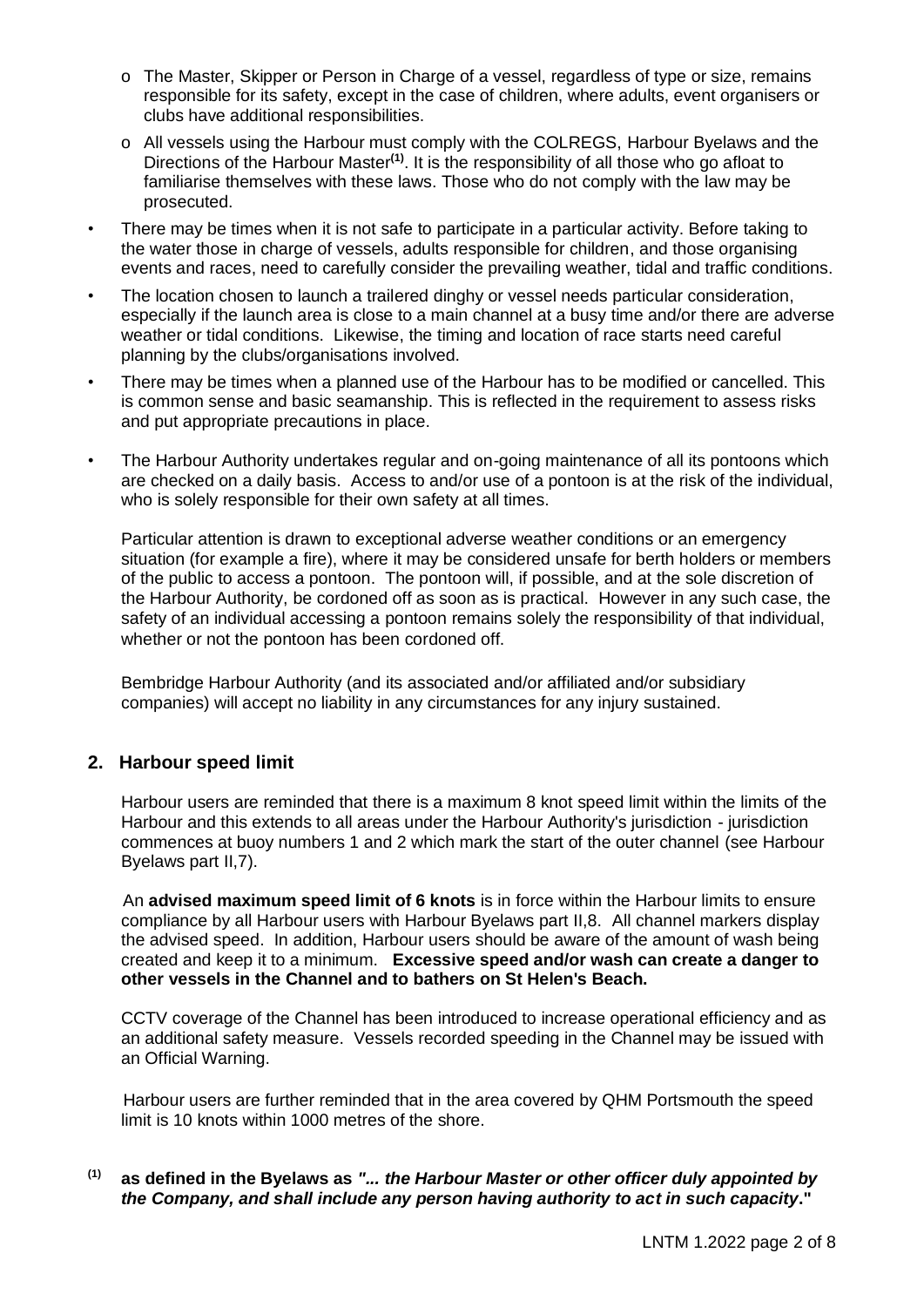- o The Master, Skipper or Person in Charge of a vessel, regardless of type or size, remains responsible for its safety, except in the case of children, where adults, event organisers or clubs have additional responsibilities.
- o All vessels using the Harbour must comply with the COLREGS, Harbour Byelaws and the Directions of the Harbour Master<sup>(1)</sup>. It is the responsibility of all those who go afloat to familiarise themselves with these laws. Those who do not comply with the law may be prosecuted.
- There may be times when it is not safe to participate in a particular activity. Before taking to the water those in charge of vessels, adults responsible for children, and those organising events and races, need to carefully consider the prevailing weather, tidal and traffic conditions.
- The location chosen to launch a trailered dinghy or vessel needs particular consideration, especially if the launch area is close to a main channel at a busy time and/or there are adverse weather or tidal conditions. Likewise, the timing and location of race starts need careful planning by the clubs/organisations involved.
- There may be times when a planned use of the Harbour has to be modified or cancelled. This is common sense and basic seamanship. This is reflected in the requirement to assess risks and put appropriate precautions in place.
- The Harbour Authority undertakes regular and on-going maintenance of all its pontoons which are checked on a daily basis. Access to and/or use of a pontoon is at the risk of the individual, who is solely responsible for their own safety at all times.

Particular attention is drawn to exceptional adverse weather conditions or an emergency situation (for example a fire), where it may be considered unsafe for berth holders or members of the public to access a pontoon. The pontoon will, if possible, and at the sole discretion of the Harbour Authority, be cordoned off as soon as is practical. However in any such case, the safety of an individual accessing a pontoon remains solely the responsibility of that individual, whether or not the pontoon has been cordoned off.

Bembridge Harbour Authority (and its associated and/or affiliated and/or subsidiary companies) will accept no liability in any circumstances for any injury sustained.

# **2. Harbour speed limit**

Harbour users are reminded that there is a maximum 8 knot speed limit within the limits of the Harbour and this extends to all areas under the Harbour Authority's jurisdiction - jurisdiction commences at buoy numbers 1 and 2 which mark the start of the outer channel (see Harbour Byelaws part II,7).

 An **advised maximum speed limit of 6 knots** is in force within the Harbour limits to ensure compliance by all Harbour users with Harbour Byelaws part II,8. All channel markers display the advised speed. In addition, Harbour users should be aware of the amount of wash being created and keep it to a minimum. **Excessive speed and/or wash can create a danger to other vessels in the Channel and to bathers on St Helen's Beach.**

CCTV coverage of the Channel has been introduced to increase operational efficiency and as an additional safety measure. Vessels recorded speeding in the Channel may be issued with an Official Warning.

Harbour users are further reminded that in the area covered by QHM Portsmouth the speed limit is 10 knots within 1000 metres of the shore.

### **(1) as defined in the Byelaws as** *"... the Harbour Master or other officer duly appointed by the Company, and shall include any person having authority to act in such capacity***."**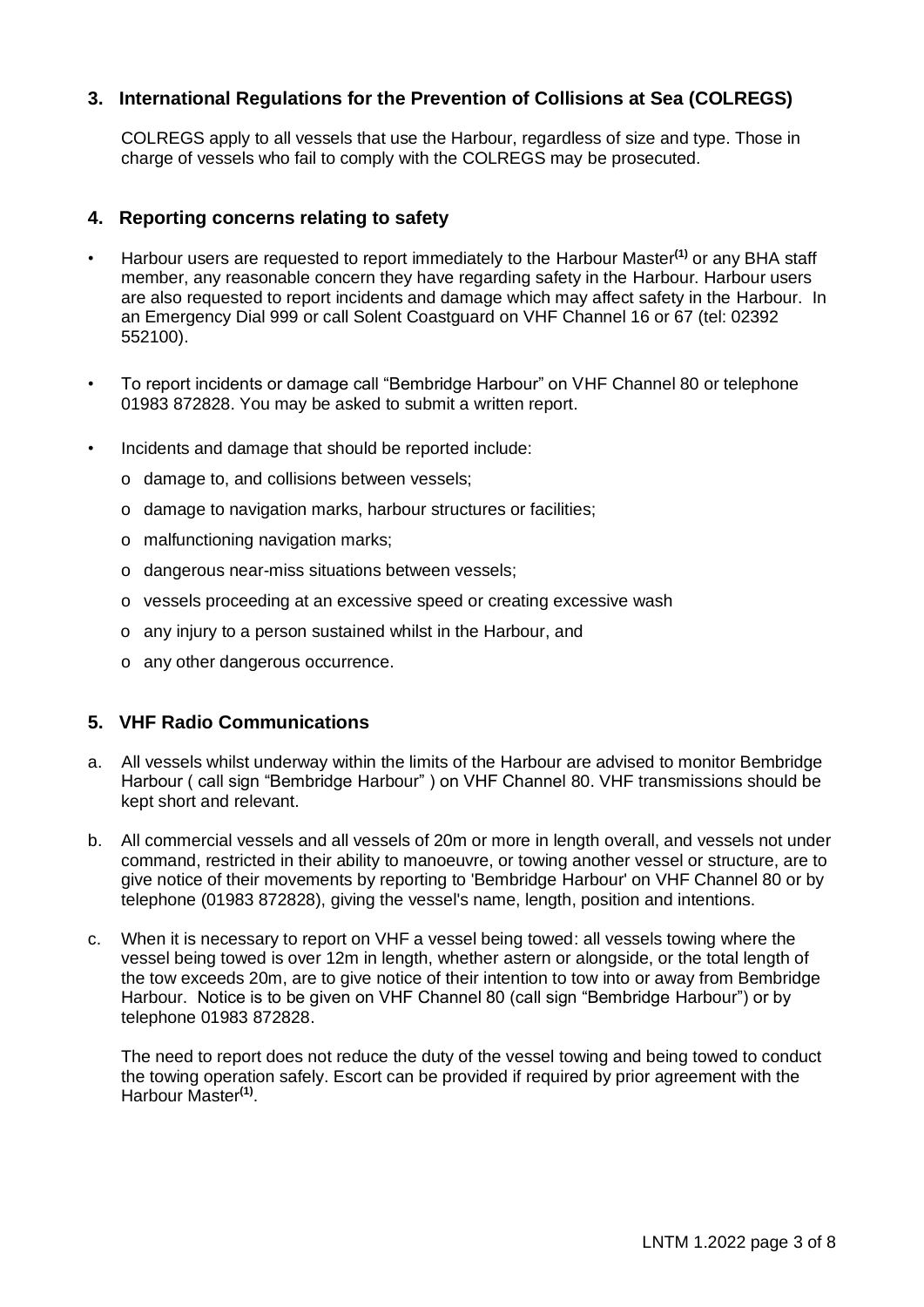# **3. International Regulations for the Prevention of Collisions at Sea (COLREGS)**

COLREGS apply to all vessels that use the Harbour, regardless of size and type. Those in charge of vessels who fail to comply with the COLREGS may be prosecuted.

#### **4. Reporting concerns relating to safety**

- Harbour users are requested to report immediately to the Harbour Master**(1)** or any BHA staff member, any reasonable concern they have regarding safety in the Harbour. Harbour users are also requested to report incidents and damage which may affect safety in the Harbour. In an Emergency Dial 999 or call Solent Coastguard on VHF Channel 16 or 67 (tel: 02392 552100).
- To report incidents or damage call "Bembridge Harbour" on VHF Channel 80 or telephone 01983 872828. You may be asked to submit a written report.
- Incidents and damage that should be reported include:
	- o damage to, and collisions between vessels;
	- o damage to navigation marks, harbour structures or facilities;
	- o malfunctioning navigation marks;
	- o dangerous near-miss situations between vessels;
	- o vessels proceeding at an excessive speed or creating excessive wash
	- o any injury to a person sustained whilst in the Harbour, and
	- o any other dangerous occurrence.

### **5. VHF Radio Communications**

- a. All vessels whilst underway within the limits of the Harbour are advised to monitor Bembridge Harbour ( call sign "Bembridge Harbour" ) on VHF Channel 80. VHF transmissions should be kept short and relevant.
- b. All commercial vessels and all vessels of 20m or more in length overall, and vessels not under command, restricted in their ability to manoeuvre, or towing another vessel or structure, are to give notice of their movements by reporting to 'Bembridge Harbour' on VHF Channel 80 or by telephone (01983 872828), giving the vessel's name, length, position and intentions.
- c. When it is necessary to report on VHF a vessel being towed: all vessels towing where the vessel being towed is over 12m in length, whether astern or alongside, or the total length of the tow exceeds 20m, are to give notice of their intention to tow into or away from Bembridge Harbour. Notice is to be given on VHF Channel 80 (call sign "Bembridge Harbour") or by telephone 01983 872828.

The need to report does not reduce the duty of the vessel towing and being towed to conduct the towing operation safely. Escort can be provided if required by prior agreement with the Harbour Master**(1)** .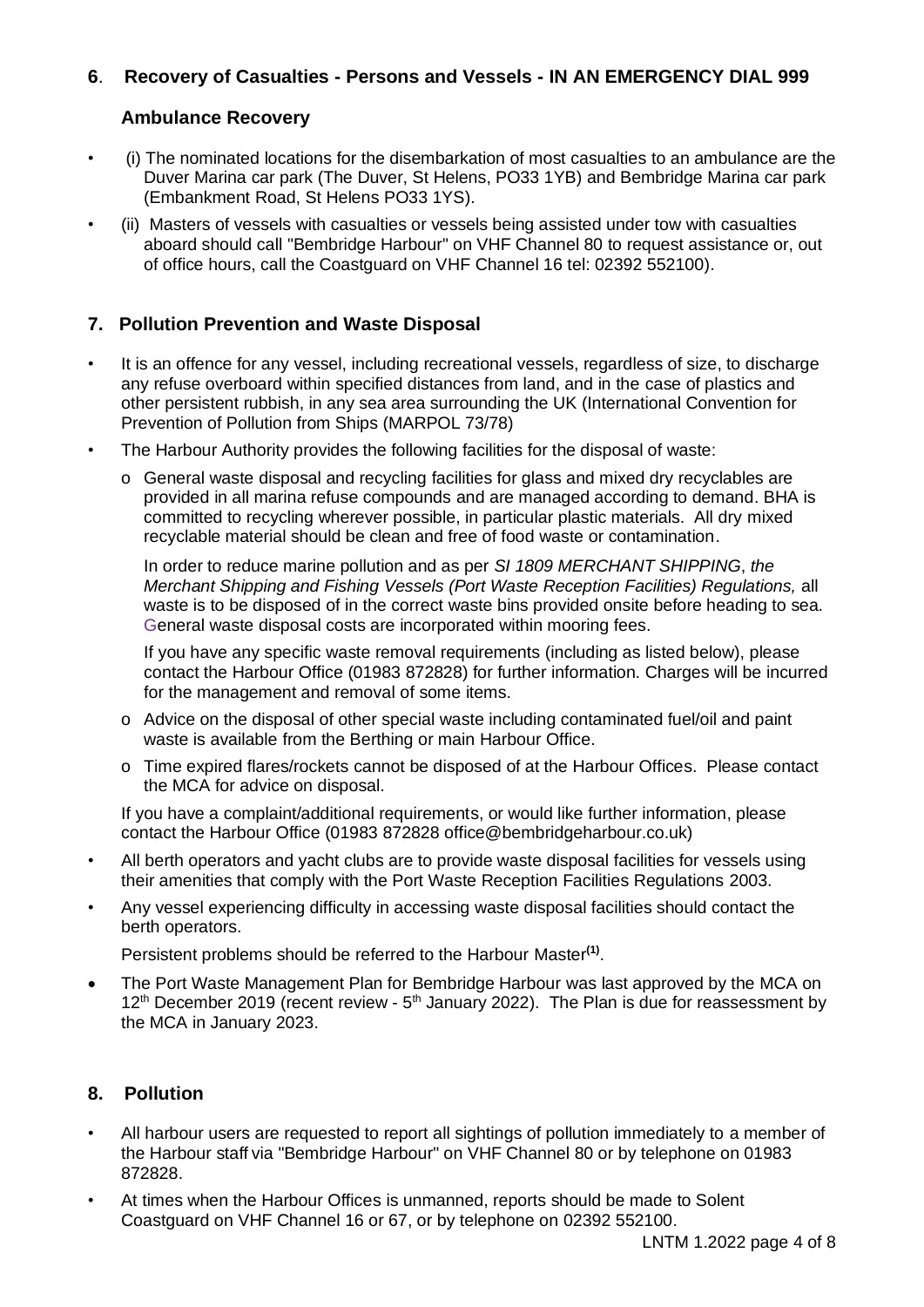# **6**. **Recovery of Casualties - Persons and Vessels - IN AN EMERGENCY DIAL 999**

# **Ambulance Recovery**

- (i) The nominated locations for the disembarkation of most casualties to an ambulance are the Duver Marina car park (The Duver, St Helens, PO33 1YB) and Bembridge Marina car park (Embankment Road, St Helens PO33 1YS).
- (ii) Masters of vessels with casualties or vessels being assisted under tow with casualties aboard should call "Bembridge Harbour" on VHF Channel 80 to request assistance or, out of office hours, call the Coastguard on VHF Channel 16 tel: 02392 552100).

# **7. Pollution Prevention and Waste Disposal**

- It is an offence for any vessel, including recreational vessels, regardless of size, to discharge any refuse overboard within specified distances from land, and in the case of plastics and other persistent rubbish, in any sea area surrounding the UK (International Convention for Prevention of Pollution from Ships (MARPOL 73/78)
- The Harbour Authority provides the following facilities for the disposal of waste:
	- o General waste disposal and recycling facilities for glass and mixed dry recyclables are provided in all marina refuse compounds and are managed according to demand. BHA is committed to recycling wherever possible, in particular plastic materials. All dry mixed recyclable material should be clean and free of food waste or contamination.

In order to reduce marine pollution and as per *SI 1809 MERCHANT SHIPPING*, *the Merchant Shipping and Fishing Vessels (Port Waste Reception Facilities) Regulations,* all waste is to be disposed of in the correct waste bins provided onsite before heading to sea. General waste disposal costs are incorporated within mooring fees.

 If you have any specific waste removal requirements (including as listed below), please contact the Harbour Office (01983 872828) for further information. Charges will be incurred for the management and removal of some items.

- o Advice on the disposal of other special waste including contaminated fuel/oil and paint waste is available from the Berthing or main Harbour Office.
- o Time expired flares/rockets cannot be disposed of at the Harbour Offices. Please contact the MCA for advice on disposal.

If you have a complaint/additional requirements, or would like further information, please contact the Harbour Office (01983 872828 office@bembridgeharbour.co.uk)

- All berth operators and yacht clubs are to provide waste disposal facilities for vessels using their amenities that comply with the Port Waste Reception Facilities Regulations 2003.
- Any vessel experiencing difficulty in accessing waste disposal facilities should contact the berth operators.

Persistent problems should be referred to the Harbour Master**(1)** .

• The Port Waste Management Plan for Bembridge Harbour was last approved by the MCA on  $12<sup>th</sup>$  December 2019 (recent review -  $5<sup>th</sup>$  January 2022). The Plan is due for reassessment by the MCA in January 2023.

# **8. Pollution**

- All harbour users are requested to report all sightings of pollution immediately to a member of the Harbour staff via "Bembridge Harbour" on VHF Channel 80 or by telephone on 01983 872828.
- At times when the Harbour Offices is unmanned, reports should be made to Solent Coastguard on VHF Channel 16 or 67, or by telephone on 02392 552100.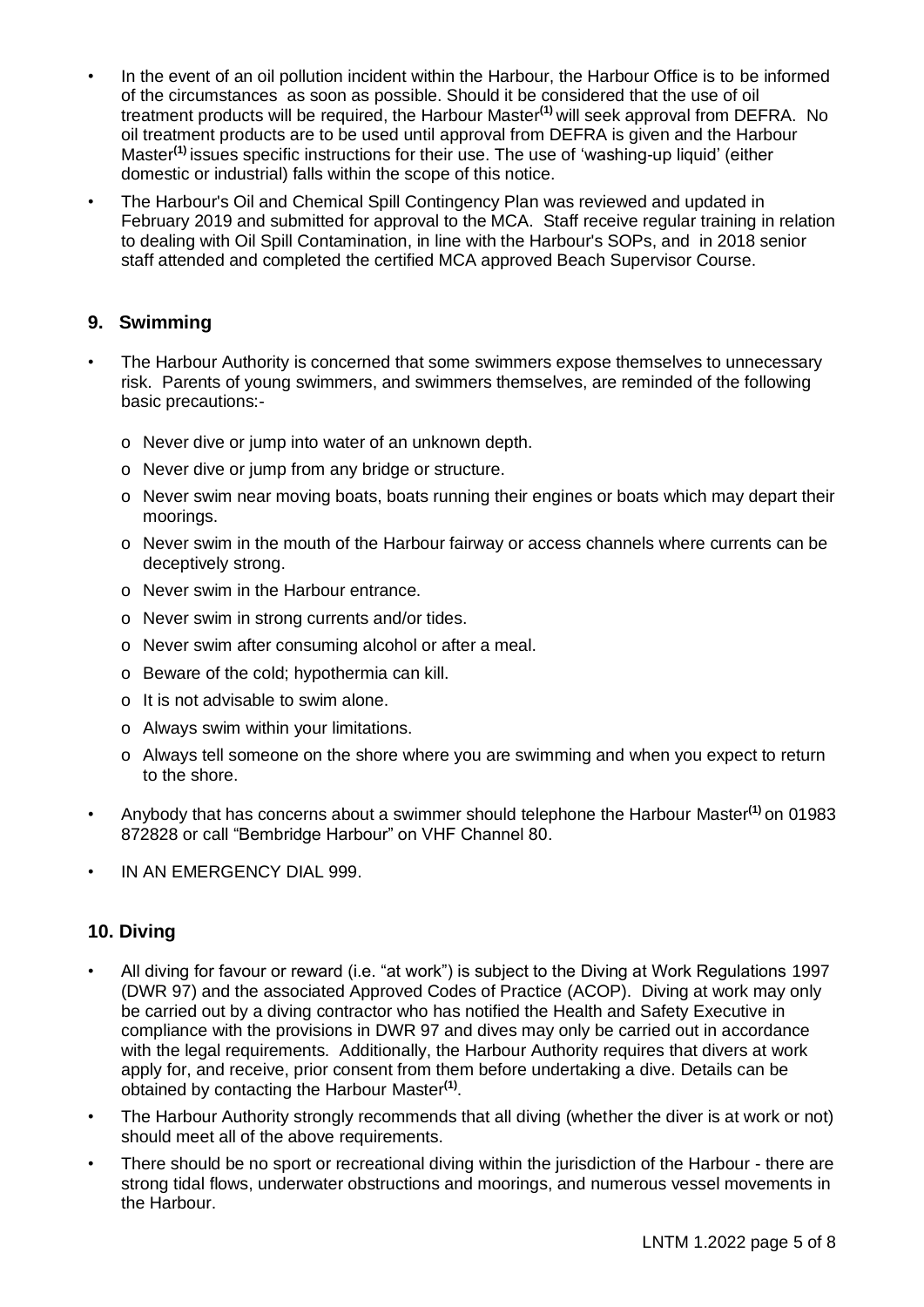- In the event of an oil pollution incident within the Harbour, the Harbour Office is to be informed of the circumstances as soon as possible. Should it be considered that the use of oil treatment products will be required, the Harbour Master**(1)** will seek approval from DEFRA. No oil treatment products are to be used until approval from DEFRA is given and the Harbour Master**(1)** issues specific instructions for their use. The use of 'washing-up liquid' (either domestic or industrial) falls within the scope of this notice.
- The Harbour's Oil and Chemical Spill Contingency Plan was reviewed and updated in February 2019 and submitted for approval to the MCA. Staff receive regular training in relation to dealing with Oil Spill Contamination, in line with the Harbour's SOPs, and in 2018 senior staff attended and completed the certified MCA approved Beach Supervisor Course.

### **9. Swimming**

- The Harbour Authority is concerned that some swimmers expose themselves to unnecessary risk. Parents of young swimmers, and swimmers themselves, are reminded of the following basic precautions:
	- o Never dive or jump into water of an unknown depth.
	- o Never dive or jump from any bridge or structure.
	- o Never swim near moving boats, boats running their engines or boats which may depart their moorings.
	- o Never swim in the mouth of the Harbour fairway or access channels where currents can be deceptively strong.
	- o Never swim in the Harbour entrance.
	- o Never swim in strong currents and/or tides.
	- o Never swim after consuming alcohol or after a meal.
	- o Beware of the cold; hypothermia can kill.
	- o It is not advisable to swim alone.
	- o Always swim within your limitations.
	- o Always tell someone on the shore where you are swimming and when you expect to return to the shore.
- Anybody that has concerns about a swimmer should telephone the Harbour Master**(1)** on 01983 872828 or call "Bembridge Harbour" on VHF Channel 80.
- IN AN EMERGENCY DIAL 999.

# **10. Diving**

- All diving for favour or reward (i.e. "at work") is subject to the Diving at Work Regulations 1997 (DWR 97) and the associated Approved Codes of Practice (ACOP). Diving at work may only be carried out by a diving contractor who has notified the Health and Safety Executive in compliance with the provisions in DWR 97 and dives may only be carried out in accordance with the legal requirements. Additionally, the Harbour Authority requires that divers at work apply for, and receive, prior consent from them before undertaking a dive. Details can be obtained by contacting the Harbour Master**(1)** .
- The Harbour Authority strongly recommends that all diving (whether the diver is at work or not) should meet all of the above requirements.
- There should be no sport or recreational diving within the jurisdiction of the Harbour there are strong tidal flows, underwater obstructions and moorings, and numerous vessel movements in the Harbour.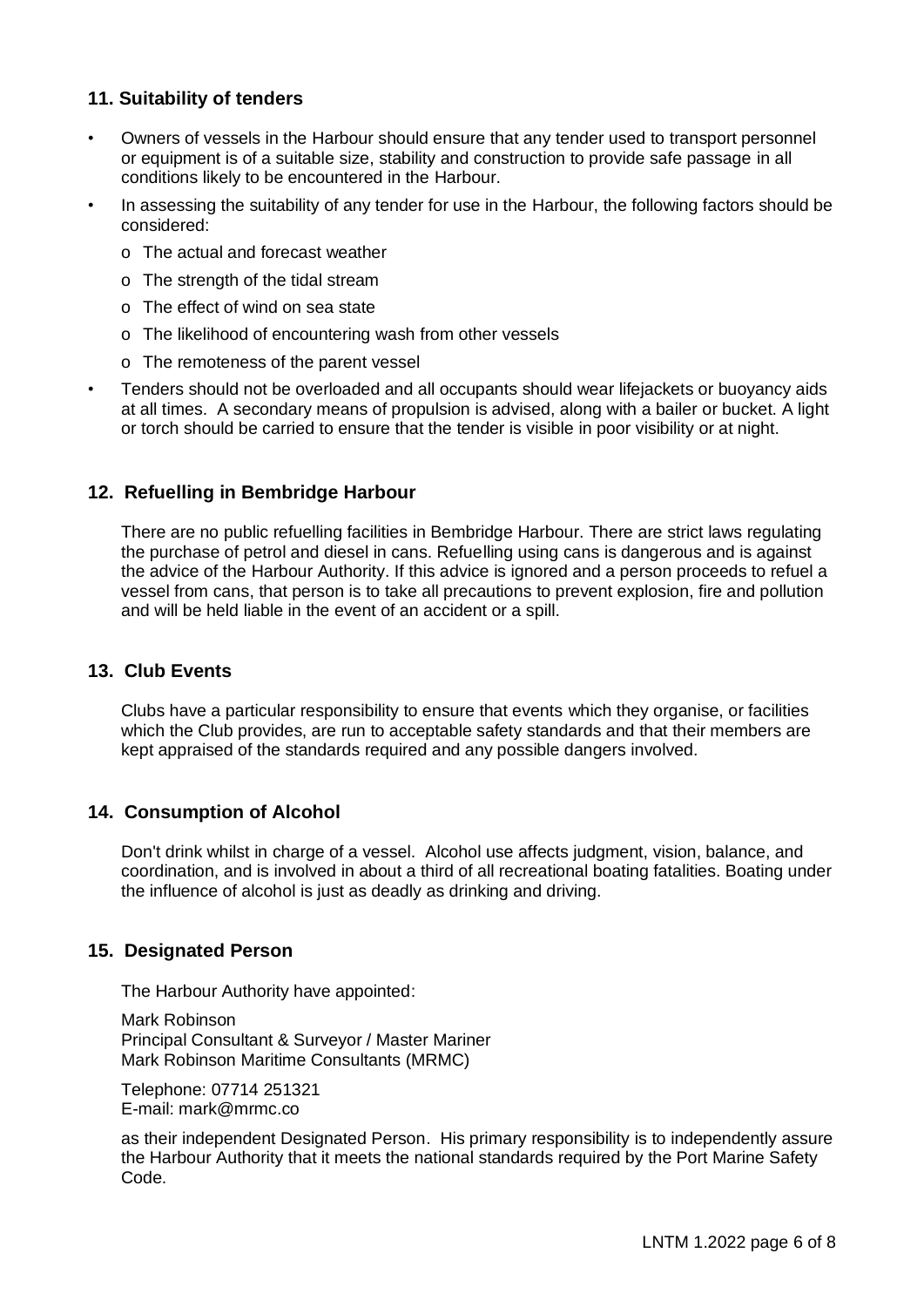# **11. Suitability of tenders**

- Owners of vessels in the Harbour should ensure that any tender used to transport personnel or equipment is of a suitable size, stability and construction to provide safe passage in all conditions likely to be encountered in the Harbour.
- In assessing the suitability of any tender for use in the Harbour, the following factors should be considered:
	- o The actual and forecast weather
	- o The strength of the tidal stream
	- o The effect of wind on sea state
	- o The likelihood of encountering wash from other vessels
	- o The remoteness of the parent vessel
- Tenders should not be overloaded and all occupants should wear lifejackets or buoyancy aids at all times. A secondary means of propulsion is advised, along with a bailer or bucket. A light or torch should be carried to ensure that the tender is visible in poor visibility or at night.

### **12. Refuelling in Bembridge Harbour**

There are no public refuelling facilities in Bembridge Harbour. There are strict laws regulating the purchase of petrol and diesel in cans. Refuelling using cans is dangerous and is against the advice of the Harbour Authority. If this advice is ignored and a person proceeds to refuel a vessel from cans, that person is to take all precautions to prevent explosion, fire and pollution and will be held liable in the event of an accident or a spill.

### **13. Club Events**

Clubs have a particular responsibility to ensure that events which they organise, or facilities which the Club provides, are run to acceptable safety standards and that their members are kept appraised of the standards required and any possible dangers involved.

#### **14. Consumption of Alcohol**

Don't drink whilst in charge of a vessel. Alcohol use affects judgment, vision, balance, and coordination, and is involved in about a third of all recreational boating fatalities. Boating under the influence of alcohol is just as deadly as drinking and driving.

# **15. Designated Person**

The Harbour Authority have appointed:

Mark Robinson Principal Consultant & Surveyor / Master Mariner Mark Robinson Maritime Consultants (MRMC)

Telephone: 07714 251321 E-mail: mark@mrmc.co

as their independent Designated Person. His primary responsibility is to independently assure the Harbour Authority that it meets the national standards required by the Port Marine Safety Code.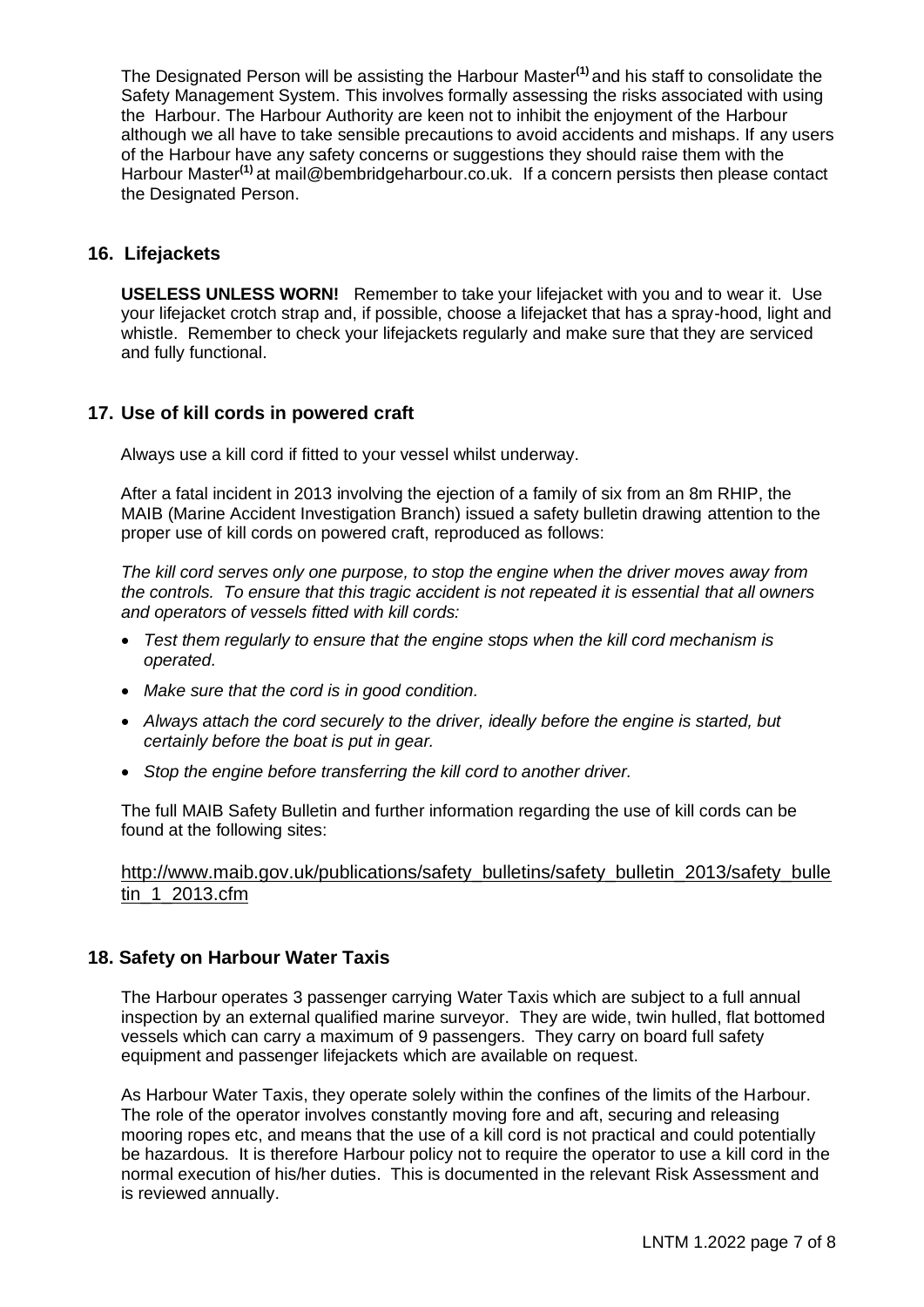The Designated Person will be assisting the Harbour Master**(1)** and his staff to consolidate the Safety Management System. This involves formally assessing the risks associated with using the Harbour. The Harbour Authority are keen not to inhibit the enjoyment of the Harbour although we all have to take sensible precautions to avoid accidents and mishaps. If any users of the Harbour have any safety concerns or suggestions they should raise them with the Harbour Master<sup>(1)</sup> at mail@bembridgeharbour.co.uk. If a concern persists then please contact the Designated Person.

### **16. Lifejackets**

**USELESS UNLESS WORN!** Remember to take your lifejacket with you and to wear it. Use your lifejacket crotch strap and, if possible, choose a lifejacket that has a spray-hood, light and whistle. Remember to check your lifejackets regularly and make sure that they are serviced and fully functional.

# **17. Use of kill cords in powered craft**

Always use a kill cord if fitted to your vessel whilst underway.

After a fatal incident in 2013 involving the ejection of a family of six from an 8m RHIP, the MAIB (Marine Accident Investigation Branch) issued a safety bulletin drawing attention to the proper use of kill cords on powered craft, reproduced as follows:

*The kill cord serves only one purpose, to stop the engine when the driver moves away from the controls. To ensure that this tragic accident is not repeated it is essential that all owners and operators of vessels fitted with kill cords:*

- *Test them regularly to ensure that the engine stops when the kill cord mechanism is operated.*
- *Make sure that the cord is in good condition.*
- *Always attach the cord securely to the driver, ideally before the engine is started, but certainly before the boat is put in gear.*
- *Stop the engine before transferring the kill cord to another driver.*

The full MAIB Safety Bulletin and further information regarding the use of kill cords can be found at the following sites:

[http://www.maib.gov.uk/publications/safety\\_bulletins/safety\\_bulletin\\_2013/safety\\_bulle](http://www.maib.gov.uk/publications/safety_bulletins/safety_bulletin_2013/safety_bulletin_1_2013.cfm) [tin\\_1\\_2013.cfm](http://www.maib.gov.uk/publications/safety_bulletins/safety_bulletin_2013/safety_bulletin_1_2013.cfm)

# **18. Safety on Harbour Water Taxis**

The Harbour operates 3 passenger carrying Water Taxis which are subject to a full annual inspection by an external qualified marine surveyor. They are wide, twin hulled, flat bottomed vessels which can carry a maximum of 9 passengers. They carry on board full safety equipment and passenger lifejackets which are available on request.

As Harbour Water Taxis, they operate solely within the confines of the limits of the Harbour. The role of the operator involves constantly moving fore and aft, securing and releasing mooring ropes etc, and means that the use of a kill cord is not practical and could potentially be hazardous. It is therefore Harbour policy not to require the operator to use a kill cord in the normal execution of his/her duties. This is documented in the relevant Risk Assessment and is reviewed annually.